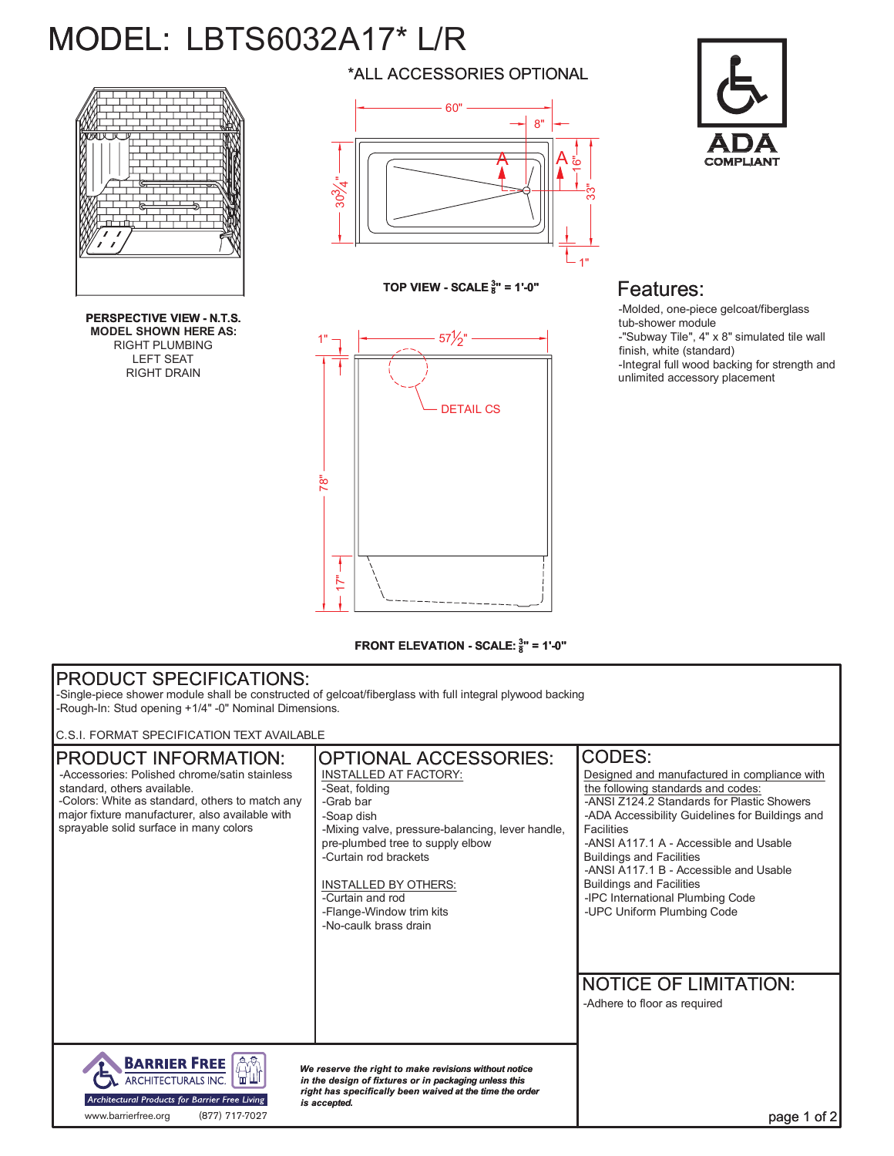# MODEL: LBTS6032A17\* L/R



**PERSPECTIVE VIEW - N.T.S. MODEL SHOWN HERE AS:** RIGHT PLUMBING LEFT SEAT RIGHT DRAIN

\*ALL ACCESSORIES OPTIONAL



**TOP VIEW - SCALE <sup>3</sup> 8" = 1'-0"**



## Features:

-Molded, one-piece gelcoat/fiberglass tub-shower module -"Subway Tile", 4" x 8" simulated tile wall finish, white (standard) -Integral full wood backing for strength and unlimited accessory placement

#### **FRONT ELEVATION - SCALE: <sup>3</sup> 8" = 1'-0"**

### PRODUCT SPECIFICATIONS:

-Single-piece shower module shall be constructed of gelcoat/fiberglass with full integral plywood backing -Rough-In: Stud opening +1/4" -0" Nominal Dimensions.

C.S.I. FORMAT SPECIFICATION TEXT AVAILABLE

#### OPTIONAL ACCESSORIES: CODES: PRODUCT INFORMATION: -Accessories: Polished chrome/satin stainless INSTALLED AT FACTORY: Designed and manufactured in compliance with standard, others available. the following standards and codes: -Seat, folding -Colors: White as standard, others to match any -Grab bar -ANSI Z124.2 Standards for Plastic Showers major fixture manufacturer, also available with -Soap dish -ADA Accessibility Guidelines for Buildings and sprayable solid surface in many colors Facilities -Mixing valve, pressure-balancing, lever handle, pre-plumbed tree to supply elbow -ANSI A117.1 A - Accessible and Usable -Curtain rod brackets Buildings and Facilities -ANSI A117.1 B - Accessible and Usable INSTALLED BY OTHERS: Buildings and Facilities -Curtain and rod -IPC International Plumbing Code -Flange-Window trim kits -UPC Uniform Plumbing Code -No-caulk brass drain NOTICE OF LIMITATION: -Adhere to floor as required **AN BARRIER FREE** *We reserve the right to make revisions without notice* ARCHITECTURALS INC. in the design of fixtures or in packaging unless this<br>right has specifically been waived at the time the order Architectural Products for Barrier Free Living *is accepted.* www.barrierfree.org (877) 717-7027page 1 of 2